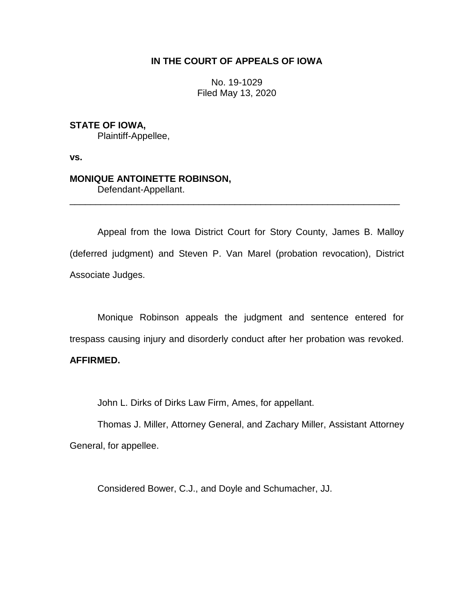## **IN THE COURT OF APPEALS OF IOWA**

No. 19-1029 Filed May 13, 2020

**STATE OF IOWA,**

Plaintiff-Appellee,

**vs.**

## **MONIQUE ANTOINETTE ROBINSON,**

Defendant-Appellant.

Appeal from the Iowa District Court for Story County, James B. Malloy (deferred judgment) and Steven P. Van Marel (probation revocation), District Associate Judges.

\_\_\_\_\_\_\_\_\_\_\_\_\_\_\_\_\_\_\_\_\_\_\_\_\_\_\_\_\_\_\_\_\_\_\_\_\_\_\_\_\_\_\_\_\_\_\_\_\_\_\_\_\_\_\_\_\_\_\_\_\_\_\_\_

Monique Robinson appeals the judgment and sentence entered for trespass causing injury and disorderly conduct after her probation was revoked.

## **AFFIRMED.**

John L. Dirks of Dirks Law Firm, Ames, for appellant.

Thomas J. Miller, Attorney General, and Zachary Miller, Assistant Attorney General, for appellee.

Considered Bower, C.J., and Doyle and Schumacher, JJ.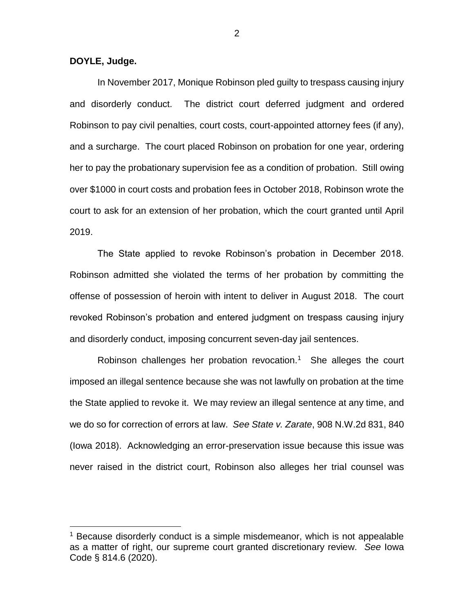**DOYLE, Judge.**

 $\overline{a}$ 

In November 2017, Monique Robinson pled guilty to trespass causing injury and disorderly conduct. The district court deferred judgment and ordered Robinson to pay civil penalties, court costs, court-appointed attorney fees (if any), and a surcharge. The court placed Robinson on probation for one year, ordering her to pay the probationary supervision fee as a condition of probation. Still owing over \$1000 in court costs and probation fees in October 2018, Robinson wrote the court to ask for an extension of her probation, which the court granted until April 2019.

The State applied to revoke Robinson's probation in December 2018. Robinson admitted she violated the terms of her probation by committing the offense of possession of heroin with intent to deliver in August 2018. The court revoked Robinson's probation and entered judgment on trespass causing injury and disorderly conduct, imposing concurrent seven-day jail sentences.

Robinson challenges her probation revocation.<sup>1</sup> She alleges the court imposed an illegal sentence because she was not lawfully on probation at the time the State applied to revoke it. We may review an illegal sentence at any time, and we do so for correction of errors at law. *See State v. Zarate*, 908 N.W.2d 831, 840 (Iowa 2018). Acknowledging an error-preservation issue because this issue was never raised in the district court, Robinson also alleges her trial counsel was

2

 $1$  Because disorderly conduct is a simple misdemeanor, which is not appealable as a matter of right, our supreme court granted discretionary review. *See* Iowa Code § 814.6 (2020).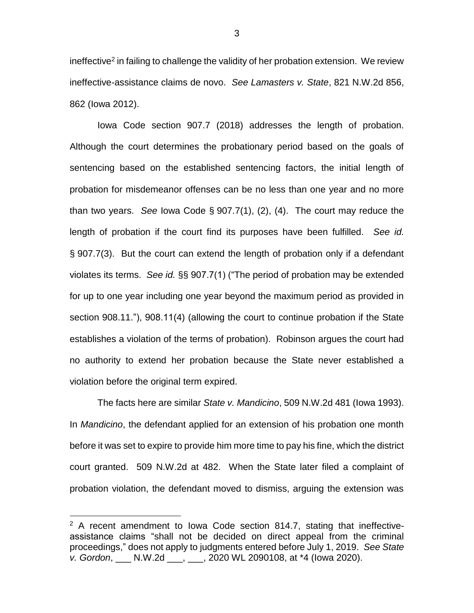ineffective<sup>2</sup> in failing to challenge the validity of her probation extension. We review ineffective-assistance claims de novo. *See Lamasters v. State*, 821 N.W.2d 856, 862 (Iowa 2012).

Iowa Code section 907.7 (2018) addresses the length of probation. Although the court determines the probationary period based on the goals of sentencing based on the established sentencing factors, the initial length of probation for misdemeanor offenses can be no less than one year and no more than two years. *See* Iowa Code § 907.7(1), (2), (4). The court may reduce the length of probation if the court find its purposes have been fulfilled. *See id.* § 907.7(3). But the court can extend the length of probation only if a defendant violates its terms. *See id.* §§ 907.7(1) ("The period of probation may be extended for up to one year including one year beyond the maximum period as provided in section 908.11."), 908.11(4) (allowing the court to continue probation if the State establishes a violation of the terms of probation). Robinson argues the court had no authority to extend her probation because the State never established a violation before the original term expired.

The facts here are similar *State v. Mandicino*, 509 N.W.2d 481 (Iowa 1993). In *Mandicino*, the defendant applied for an extension of his probation one month before it was set to expire to provide him more time to pay his fine, which the district court granted. 509 N.W.2d at 482. When the State later filed a complaint of probation violation, the defendant moved to dismiss, arguing the extension was

 $\overline{a}$ 

 $2$  A recent amendment to lowa Code section 814.7, stating that ineffectiveassistance claims "shall not be decided on direct appeal from the criminal proceedings," does not apply to judgments entered before July 1, 2019. *See State v. Gordon*, \_\_\_ N.W.2d \_\_\_, \_\_\_, 2020 WL 2090108, at \*4 (Iowa 2020).